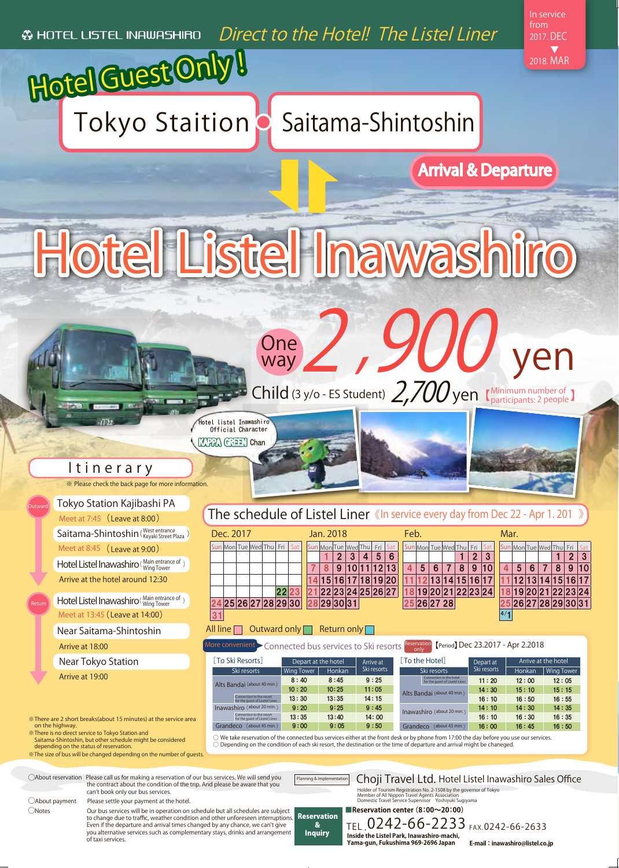